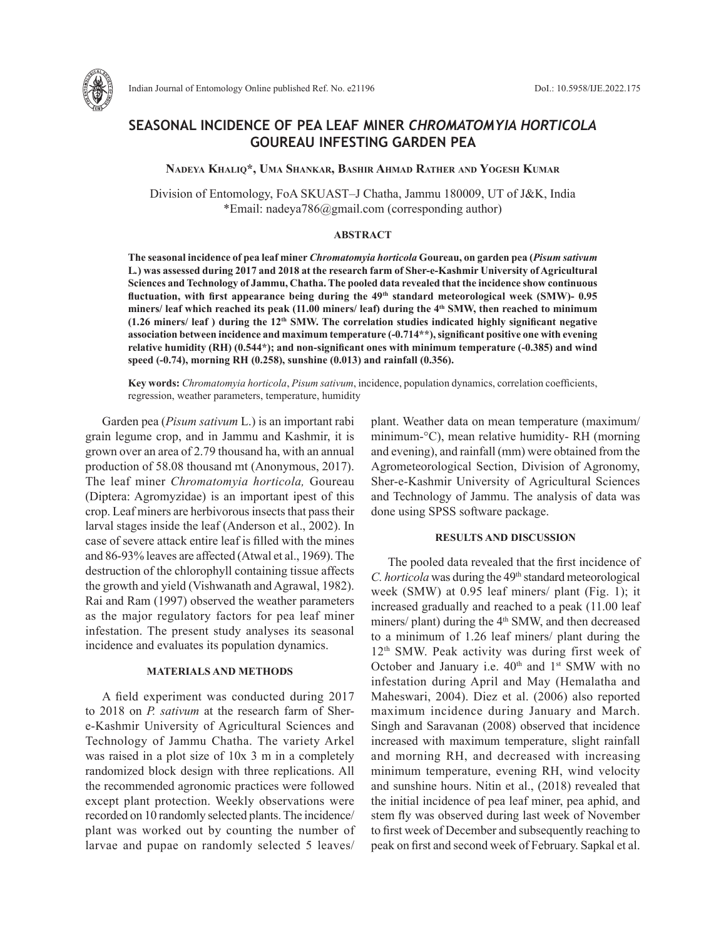

Indian Journal of Entomology Online published Ref. No. e21196 DoI.: 10.5958/IJE.2022.175

# **SEASONAL INCIDENCE OF PEA LEAF MINER** *CHROMATOMYIA HORTICOLA* **GOUREAU INFESTING GARDEN PEA**

**Nadeya Khaliq\*, Uma Shankar, Bashir Ahmad Rather and Yogesh Kumar**

Division of Entomology, FoA SKUAST–J Chatha, Jammu 180009, UT of J&K, India \*Email: nadeya786@gmail.com (corresponding author)

## **ABSTRACT**

**The seasonal incidence of pea leaf miner** *Chromatomyia horticola* **Goureau, on garden pea (***Pisum sativum*  **L***.***) was assessed during 2017 and 2018 at the research farm of Sher-e-Kashmir University of Agricultural Sciences and Technology of Jammu, Chatha. The pooled data revealed that the incidence show continuous fluctuation, with first appearance being during the 49th standard meteorological week (SMW)- 0.95 miners/ leaf which reached its peak (11.00 miners/ leaf) during the 4th SMW, then reached to minimum (1.26 miners/ leaf ) during the 12th SMW. The correlation studies indicated highly significant negative association between incidence and maximum temperature (-0.714\*\*), significant positive one with evening relative humidity (RH) (0.544\*); and non-significant ones with minimum temperature (-0.385) and wind speed (-0.74), morning RH (0.258), sunshine (0.013) and rainfall (0.356).** 

**Key words:** *Chromatomyia horticola*, *Pisum sativum*, incidence, population dynamics, correlation coefficients, regression, weather parameters, temperature, humidity

Garden pea (*Pisum sativum* L.) is an important rabi grain legume crop, and in Jammu and Kashmir, it is grown over an area of 2.79 thousand ha, with an annual production of 58.08 thousand mt (Anonymous, 2017). The leaf miner *Chromatomyia horticola,* Goureau (Diptera: Agromyzidae) is an important ipest of this crop. Leaf miners are herbivorous insects that pass their larval stages inside the leaf (Anderson et al., 2002). In case of severe attack entire leaf is filled with the mines and 86-93% leaves are affected (Atwal et al., 1969). The destruction of the chlorophyll containing tissue affects the growth and yield (Vishwanath and Agrawal, 1982). Rai and Ram (1997) observed the weather parameters as the major regulatory factors for pea leaf miner infestation. The present study analyses its seasonal incidence and evaluates its population dynamics.

## **MATERIALS AND METHODS**

A field experiment was conducted during 2017 to 2018 on *P. sativum* at the research farm of Shere-Kashmir University of Agricultural Sciences and Technology of Jammu Chatha. The variety Arkel was raised in a plot size of 10x 3 m in a completely randomized block design with three replications. All the recommended agronomic practices were followed except plant protection. Weekly observations were recorded on 10 randomly selected plants. The incidence/ plant was worked out by counting the number of larvae and pupae on randomly selected 5 leaves/

plant. Weather data on mean temperature (maximum/ minimum-°C), mean relative humidity- RH (morning and evening), and rainfall (mm) were obtained from the Agrometeorological Section, Division of Agronomy, Sher-e-Kashmir University of Agricultural Sciences and Technology of Jammu. The analysis of data was done using SPSS software package.

#### **RESULTS AND DISCUSSION**

The pooled data revealed that the first incidence of *C. horticola* was during the 49th standard meteorological week (SMW) at 0.95 leaf miners/ plant (Fig. 1); it increased gradually and reached to a peak (11.00 leaf miners/ plant) during the 4<sup>th</sup> SMW, and then decreased to a minimum of 1.26 leaf miners/ plant during the 12th SMW. Peak activity was during first week of October and January i.e.  $40<sup>th</sup>$  and  $1<sup>st</sup>$  SMW with no infestation during April and May (Hemalatha and Maheswari, 2004). Diez et al. (2006) also reported maximum incidence during January and March. Singh and Saravanan (2008) observed that incidence increased with maximum temperature, slight rainfall and morning RH, and decreased with increasing minimum temperature, evening RH, wind velocity and sunshine hours. Nitin et al., (2018) revealed that the initial incidence of pea leaf miner, pea aphid, and stem fly was observed during last week of November to first week of December and subsequently reaching to peak on first and second week of February. Sapkal et al.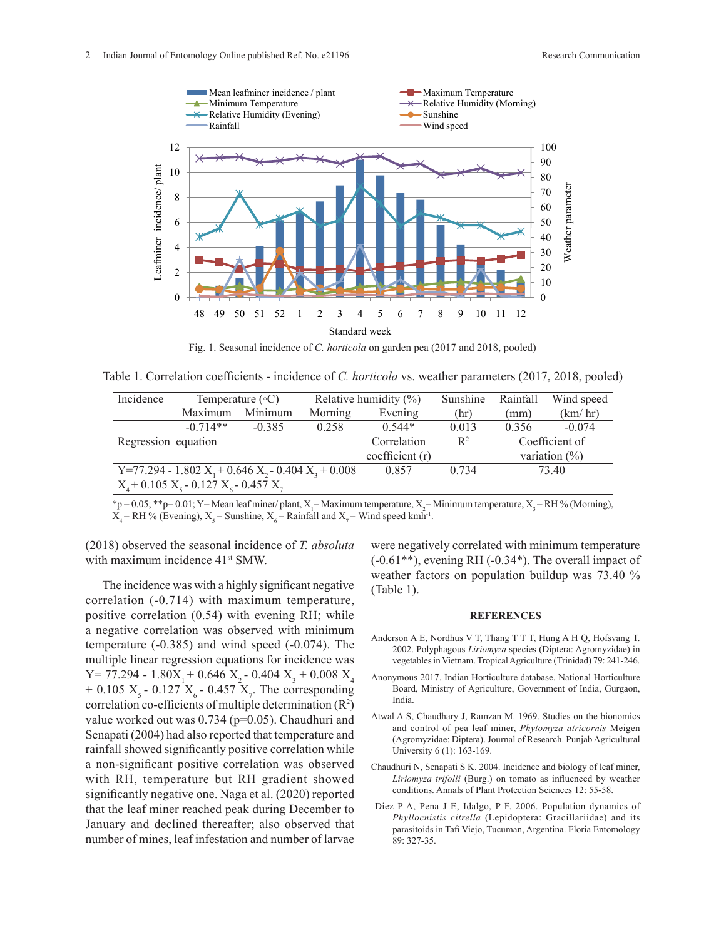

Fig. 1. Seasonal incidence of *C. horticola* on garden pea (2017 and 2018, pooled)

Table 1. Correlation coefficients - incidence of *C. horticola* vs. weather parameters (2017, 2018, pooled) Table 1. Correlation coefficients - incidence of *C. horticola* vs. weather parameters (2017, 2018,

| Incidence                                                  | Temperature $(\circ C)$ |          | Relative humidity $(\%)$ |          | Sunshine         | Rainfall | Wind speed |
|------------------------------------------------------------|-------------------------|----------|--------------------------|----------|------------------|----------|------------|
|                                                            | Maximum                 | Minimum  | Morning                  | Evening  | (hr)             | (mm)     | (km/hr)    |
|                                                            | $-0.714**$              | $-0.385$ | 0.258                    | $0.544*$ | 0.013            | 0.356    | $-0.074$   |
|                                                            | Regression equation     |          | Correlation              | $R^2$    | Coefficient of   |          |            |
|                                                            |                         |          | coefficient (r)          |          | variation $(\%)$ |          |            |
| Y=77.294 - 1.802 $X_1$ + 0.646 $X_2$ - 0.404 $X_3$ + 0.008 |                         |          |                          | 0.857    | 0.734            | 73.40    |            |
| $X_4$ + 0.105 $X_5$ - 0.127 $X_6$ - 0.457 $X_7$            |                         |          |                          |          |                  |          |            |

 $\frac{4}{\text{p}} = 0.05;$  \*\*p= 0.01; Y= Mean leaf miner/ plant, X<sub>1</sub>= Maximum temperature, X<sub>2</sub>= Minimum temperature, X<sub>3</sub>= RH % (Morning),  $X_4 = RH$  % (Evening),  $X_5 =$  Sunshine,  $X_6 =$  Rainfall and  $X_7 =$  Wind speed kmh<sup>-1</sup>.  $v_3$  and  $\sqrt{v_1}$ 

(2018) observed the seasonal incidence of *T. absoluta* we with maximum incidence  $41<sup>st</sup>$  SMW.

The incidence was with a highly significant negative The includence was with a highly significant hegative  $(Table 1)$ .<br>correlation  $(-0.714)$  with maximum temperature, positive correlation (0.54) with evening RH; while a negative correlation was observed with minimum temperature (-0.385) and wind speed (-0.074). The multiple linear regression equations for incidence was  $Y= 77.294 - 1.80X_1 + 0.646 X_2 - 0.404 X_3 + 0.008 X_4$ + 0.105  $X_s$  - 0.127  $X_s$  - 0.457  $X_{7}$ . The corresponding correlation co-efficients of multiple determination  $(R^2)$ value worked out was 0.734 (p=0.05). Chaudhuri and Senapati (2004) had also reported that temperature and rainfall showed significantly positive correlation while a non-significant positive correlation was observed with RH, temperature but RH gradient showed significantly negative one. Naga et al. (2020) reported that the leaf miner reached peak during December to January and declined thereafter; also observed that number of mines, leaf infestation and number of larvae  $\frac{(-0.714)}{2}$  with ma

were negatively correlated with minimum temperature (-0.61\*\*), evening RH (-0.34\*). The overall impact of weather factors on population buildup was  $73.40\%$ (Table 1).

#### **REFERENCES**

- Anderson A E, Nordhus V T, Thang T T T, Hung A H Q, Hofsvang T. 2002. Polyphagous *Liriomyza* species (Diptera: Agromyzidae) in vegetables in Vietnam. Tropical Agriculture (Trinidad) 79: 241-246.
- Anonymous 2017. Indian Horticulture database. National Horticulture Board, Ministry of Agriculture, Government of India, Gurgaon, India.
- Atwal A S, Chaudhary J, Ramzan M. 1969. Studies on the bionomics and control of pea leaf miner, *Phytomyza atricornis* Meigen (Agromyzidae: Diptera). Journal of Research. Punjab Agricultural University 6 (1): 163-169.
- Chaudhuri N, Senapati S K. 2004. Incidence and biology of leaf miner, *Liriomyza trifolii* (Burg.) on tomato as influenced by weather conditions. Annals of Plant Protection Sciences 12: 55-58.
- Diez P A, Pena J E, Idalgo, P F. 2006. Population dynamics of *Phyllocnistis citrella* (Lepidoptera: Gracillariidae) and its parasitoids in Tafi Viejo, Tucuman, Argentina. Floria Entomology 89: 327-35.